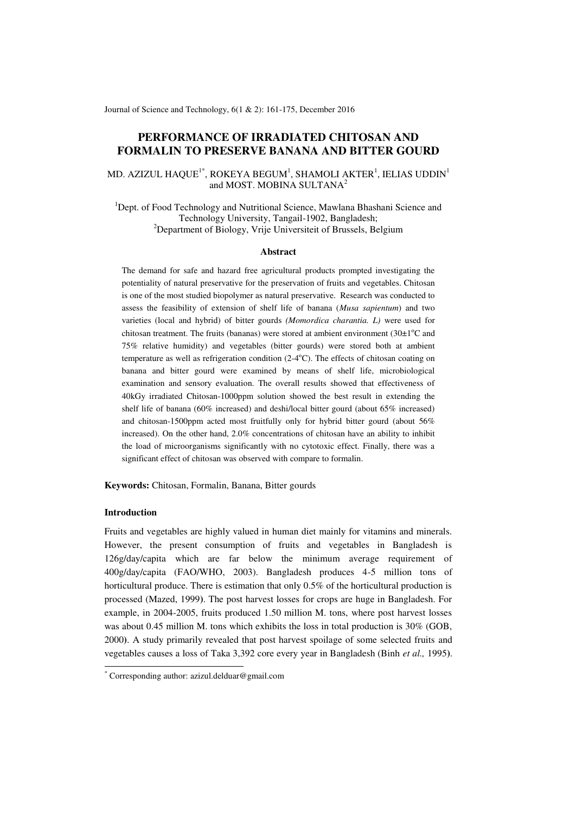Journal of Science and Technology, 6(1 & 2): 161-175, December 2016

# **PERFORMANCE OF IRRADIATED CHITOSAN AND FORMALIN TO PRESERVE BANANA AND BITTER GOURD**

# MD. AZIZUL HAQUE $^{\rm l^{\ast}}$ , ROKEYA BEGUM $^{\rm l}$ , SHAMOLI AKTER $^{\rm l}$ , IELIAS UDDIN $^{\rm l}$ and MOST. MOBINA SULTANA<sup>2</sup>

<sup>1</sup>Dept. of Food Technology and Nutritional Science, Mawlana Bhashani Science and Technology University, Tangail-1902, Bangladesh; <sup>2</sup>Department of Biology, Vrije Universiteit of Brussels, Belgium

#### **Abstract**

The demand for safe and hazard free agricultural products prompted investigating the potentiality of natural preservative for the preservation of fruits and vegetables. Chitosan is one of the most studied biopolymer as natural preservative. Research was conducted to assess the feasibility of extension of shelf life of banana (*Musa sapientum*) and two varieties (local and hybrid) of bitter gourds *(Momordica charantia. L)* were used for chitosan treatment. The fruits (bananas) were stored at ambient environment (30 $\pm$ 1<sup>o</sup>C and 75% relative humidity) and vegetables (bitter gourds) were stored both at ambient temperature as well as refrigeration condition  $(2-4<sup>o</sup>C)$ . The effects of chitosan coating on banana and bitter gourd were examined by means of shelf life, microbiological examination and sensory evaluation. The overall results showed that effectiveness of 40kGy irradiated Chitosan-1000ppm solution showed the best result in extending the shelf life of banana (60% increased) and deshi/local bitter gourd (about 65% increased) and chitosan-1500ppm acted most fruitfully only for hybrid bitter gourd (about 56% increased). On the other hand, 2.0% concentrations of chitosan have an ability to inhibit the load of microorganisms significantly with no cytotoxic effect. Finally, there was a significant effect of chitosan was observed with compare to formalin.

**Keywords:** Chitosan, Formalin, Banana, Bitter gourds

# **Introduction**

-

Fruits and vegetables are highly valued in human diet mainly for vitamins and minerals. However, the present consumption of fruits and vegetables in Bangladesh is 126g/day/capita which are far below the minimum average requirement of 400g/day/capita (FAO/WHO, 2003). Bangladesh produces 4-5 million tons of horticultural produce. There is estimation that only 0.5% of the horticultural production is processed (Mazed, 1999**)**. The post harvest losses for crops are huge in Bangladesh. For example, in 2004-2005, fruits produced 1.50 million M. tons, where post harvest losses was about 0.45 million M. tons which exhibits the loss in total production is 30% (GOB, 2000**)**. A study primarily revealed that post harvest spoilage of some selected fruits and vegetables causes a loss of Taka 3,392 core every year in Bangladesh (Binh *et al.,* 1995**)**.

<sup>\*</sup> Corresponding author[: azizul.delduar@gmail.com](mailto:azizul.delduar@gmail.com)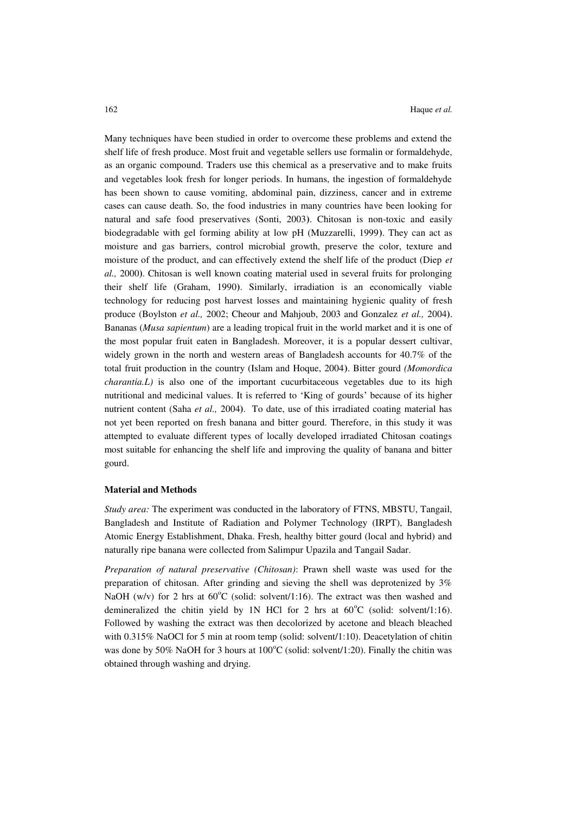Many techniques have been studied in order to overcome these problems and extend the shelf life of fresh produce. Most fruit and vegetable sellers use formalin or formaldehyde, as an [organic compound.](http://en.wikipedia.org/wiki/Organic_compound) Traders use this chemical as a preservative and to make fruits and vegetables look fresh for longer periods. In humans, the ingestion of formaldehyde has been shown to cause vomiting, abdominal pain, dizziness, cancer and in extreme cases can cause death. So, the food industries in many countries have been looking for natural and safe food preservatives (Sonti, 2003**)**. Chitosan is non-toxic and easily biodegradable with gel forming ability at low pH (Muzzarelli, 1999**)**. They can act as moisture and gas barriers, control microbial growth, preserve the color, texture and moisture of the product, and can effectively extend the shelf life of the product (Diep *et al.,* 2000**)**. Chitosan is well known coating material used in several fruits for prolonging their shelf life (Graham, 1990**)**. Similarly, irradiation is an economically viable technology for reducing post harvest losses and maintaining hygienic quality of fresh produce (Boylston *et al.,* 2002; Cheour and Mahjoub, 2003 and Gonzalez *et al.,* 2004**)**. Bananas (*Musa sapientum*) are a leading tropical fruit in the world market and it is one of the most popular fruit eaten in Bangladesh. Moreover, it is a popular dessert cultivar, widely grown in the north and western areas of Bangladesh accounts for 40.7% of the total fruit production in the country (Islam and Hoque, 2004**)**. Bitter gourd *(Momordica charantia.L)* is also one of the important cucurbitaceous vegetables due to its high nutritional and medicinal values. It is referred to 'King of gourds' because of its higher nutrient content (Saha *et al.,* 2004**)**. To date, use of this irradiated coating material has not yet been reported on fresh banana and bitter gourd. Therefore, in this study it was attempted to evaluate different types of locally developed irradiated Chitosan coatings most suitable for enhancing the shelf life and improving the quality of banana and bitter gourd.

#### **Material and Methods**

*Study area:* The experiment was conducted in the laboratory of FTNS, MBSTU, Tangail, Bangladesh and Institute of Radiation and Polymer Technology (IRPT), Bangladesh Atomic Energy Establishment, Dhaka. Fresh, healthy bitter gourd (local and hybrid) and naturally ripe banana were collected from Salimpur Upazila and Tangail Sadar.

*Preparation of natural preservative (Chitosan)*: Prawn shell waste was used for the preparation of chitosan. After grinding and sieving the shell was deprotenized by 3% NaOH (w/v) for 2 hrs at  $60^{\circ}$ C (solid: solvent/1:16). The extract was then washed and demineralized the chitin yield by 1N HCl for 2 hrs at  $60^{\circ}$ C (solid: solvent/1:16). Followed by washing the extract was then decolorized by acetone and bleach bleached with 0.315% NaOCl for 5 min at room temp (solid: solvent/1:10). Deacetylation of chitin was done by 50% NaOH for 3 hours at  $100^{\circ}$ C (solid: solvent/1:20). Finally the chitin was obtained through washing and drying.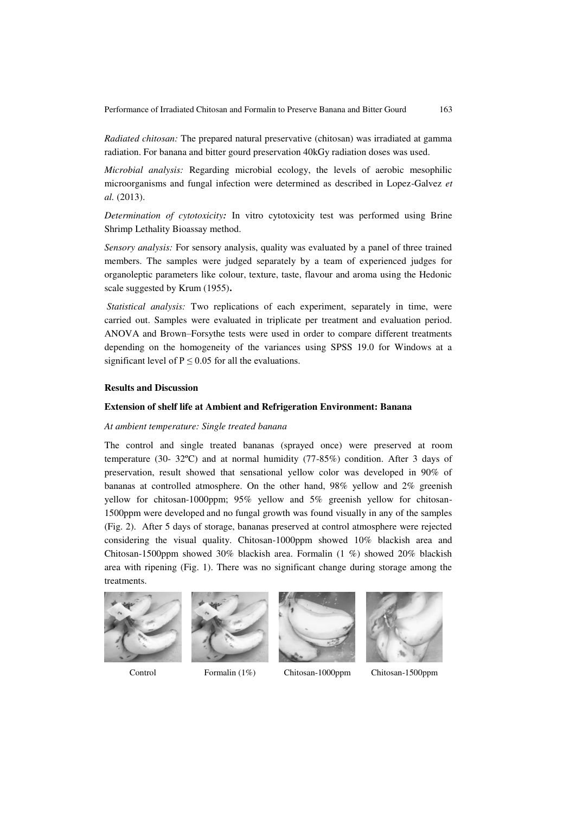*Radiated chitosan:* The prepared natural preservative (chitosan) was irradiated at gamma radiation. For banana and bitter gourd preservation 40kGy radiation doses was used.

*Microbial analysis:* Regarding microbial ecology, the levels of aerobic mesophilic microorganisms and fungal infection were determined as described in Lopez-Galvez *et al.* (2013).

*Determination of cytotoxicity:* In vitro cytotoxicity test was performed using Brine Shrimp Lethality Bioassay method.

*Sensory analysis:* For sensory analysis, quality was evaluated by a panel of three trained members. The samples were judged separately by a team of experienced judges for organoleptic parameters like colour, texture, taste, flavour and aroma using the Hedonic scale suggested by Krum (1955)**.**

 *Statistical analysis:* Two replications of each experiment, separately in time, were carried out. Samples were evaluated in triplicate per treatment and evaluation period. ANOVA and Brown–Forsythe tests were used in order to compare different treatments depending on the homogeneity of the variances using SPSS 19.0 for Windows at a significant level of  $P \le 0.05$  for all the evaluations.

### **Results and Discussion**

#### **Extension of shelf life at Ambient and Refrigeration Environment: Banana**

#### *At ambient temperature: Single treated banana*

The control and single treated bananas (sprayed once) were preserved at room temperature (30- 32ºC) and at normal humidity (77-85%) condition. After 3 days of preservation, result showed that sensational yellow color was developed in 90% of bananas at controlled atmosphere. On the other hand, 98% yellow and 2% greenish yellow for chitosan-1000ppm; 95% yellow and 5% greenish yellow for chitosan-1500ppm were developed and no fungal growth was found visually in any of the samples (Fig. 2). After 5 days of storage, bananas preserved at control atmosphere were rejected considering the visual quality. Chitosan-1000ppm showed 10% blackish area and Chitosan-1500ppm showed 30% blackish area. Formalin (1 %) showed 20% blackish area with ripening (Fig. 1). There was no significant change during storage among the treatments.









Control Formalin (1%) Chitosan-1000ppm Chitosan-1500ppm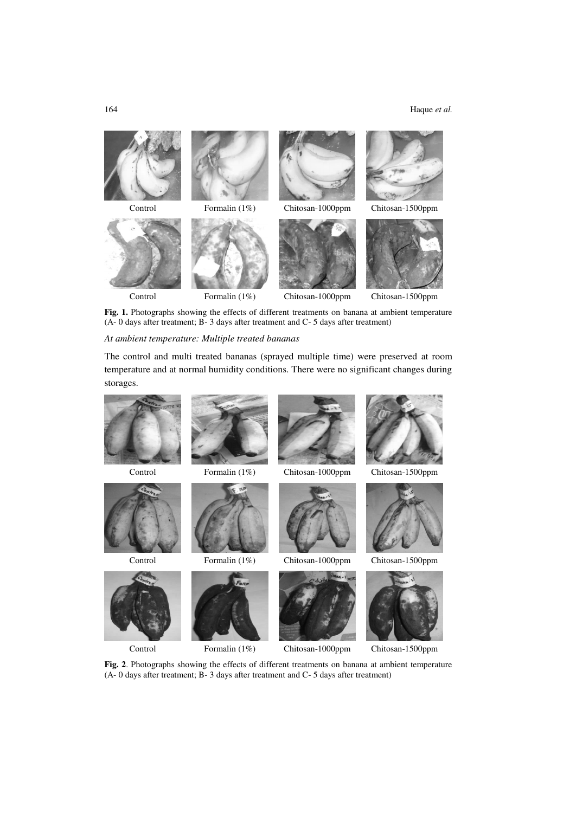### 164 Haque *et al.*



Fig. 1. Photographs showing the effects of different treatments on banana at ambient temperature (A- 0 days after treatment; B- 3 days after treatment and C- 5 days after treatment)

### *At ambient temperature: Multiple treated bananas*

The control and multi treated bananas (sprayed multiple time) were preserved at room temperature and at normal humidity conditions. There were no significant changes during storages.





Control Formalin (1%) Chitosan-1000ppm Chitosan-1500ppm



**Fig. 2**. Photographs showing the effects of different treatments on banana at ambient temperature (A- 0 days after treatment; B- 3 days after treatment and C- 5 days after treatment)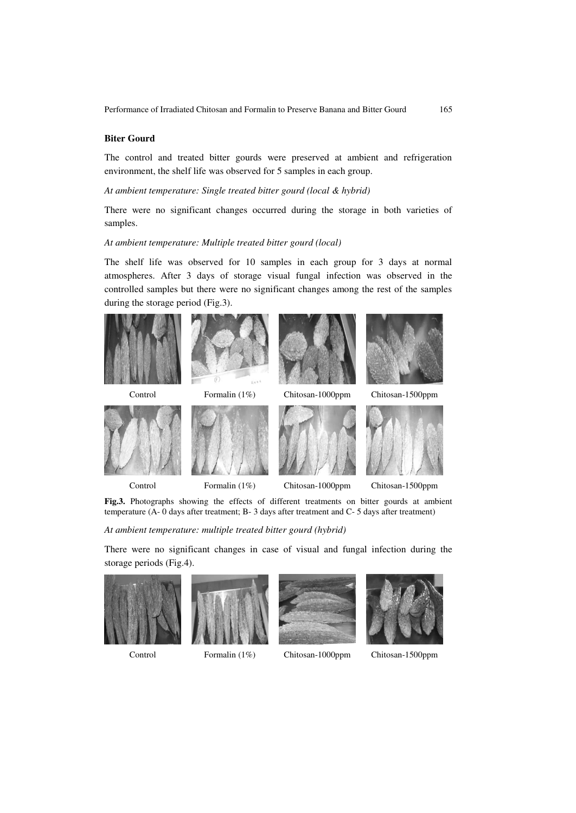### **Biter Gourd**

The control and treated bitter gourds were preserved at ambient and refrigeration environment, the shelf life was observed for 5 samples in each group.

*At ambient temperature: Single treated bitter gourd (local & hybrid)* 

There were no significant changes occurred during the storage in both varieties of samples.

### *At ambient temperature: Multiple treated bitter gourd (local)*

The shelf life was observed for 10 samples in each group for 3 days at normal atmospheres. After 3 days of storage visual fungal infection was observed in the controlled samples but there were no significant changes among the rest of the samples during the storage period (Fig.3).



Fig.3. Photographs showing the effects of different treatments on bitter gourds at ambient temperature (A- 0 days after treatment; B- 3 days after treatment and C- 5 days after treatment)

*At ambient temperature: multiple treated bitter gourd (hybrid)* 

There were no significant changes in case of visual and fungal infection during the storage periods (Fig.4).











Control Formalin (1%) Chitosan-1000ppm Chitosan-1500ppm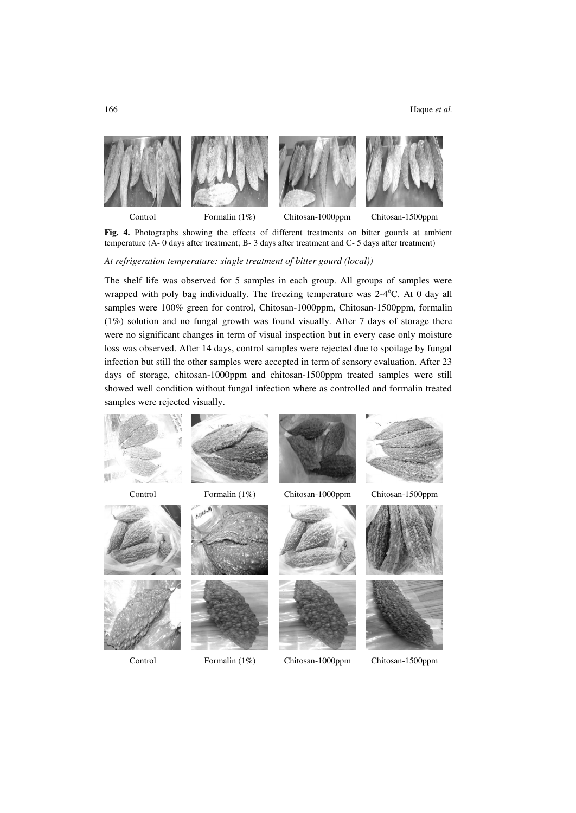

Fig. 4. Photographs showing the effects of different treatments on bitter gourds at ambient temperature (A- 0 days after treatment; B- 3 days after treatment and C- 5 days after treatment)

*At refrigeration temperature: single treatment of bitter gourd (local))* 

The shelf life was observed for 5 samples in each group. All groups of samples were wrapped with poly bag individually. The freezing temperature was  $2-4$ °C. At 0 day all samples were 100% green for control, Chitosan-1000ppm, Chitosan-1500ppm, formalin (1%) solution and no fungal growth was found visually. After 7 days of storage there were no significant changes in term of visual inspection but in every case only moisture loss was observed. After 14 days, control samples were rejected due to spoilage by fungal infection but still the other samples were accepted in term of sensory evaluation. After 23 days of storage, chitosan-1000ppm and chitosan-1500ppm treated samples were still showed well condition without fungal infection where as controlled and formalin treated samples were rejected visually.

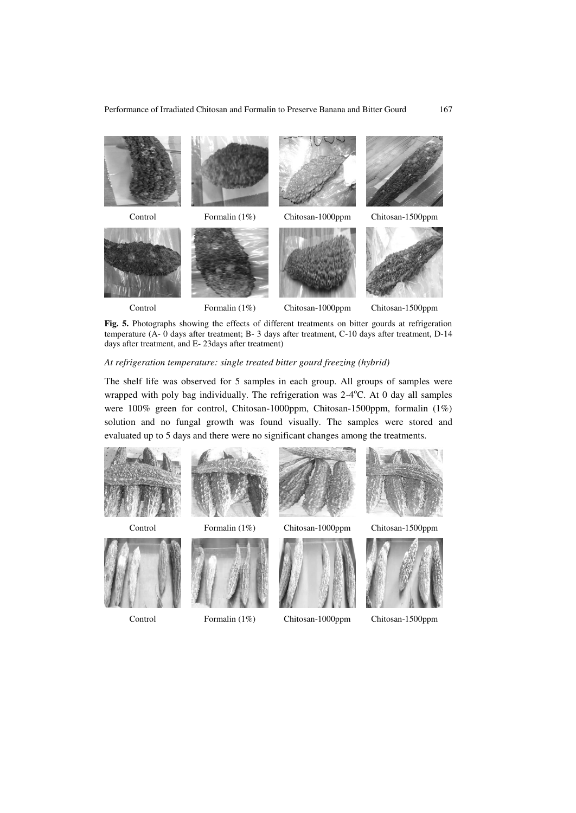

Fig. 5. Photographs showing the effects of different treatments on bitter gourds at refrigeration temperature (A- 0 days after treatment; B- 3 days after treatment, C-10 days after treatment, D-14 days after treatment, and E- 23days after treatment)

#### *At refrigeration temperature: single treated bitter gourd freezing (hybrid)*

The shelf life was observed for 5 samples in each group. All groups of samples were wrapped with poly bag individually. The refrigeration was  $2-4$ °C. At 0 day all samples were 100% green for control, Chitosan-1000ppm, Chitosan-1500ppm, formalin (1%) solution and no fungal growth was found visually. The samples were stored and evaluated up to 5 days and there were no significant changes among the treatments.

















Control Formalin (1%) Chitosan-1000ppm Chitosan-1500ppm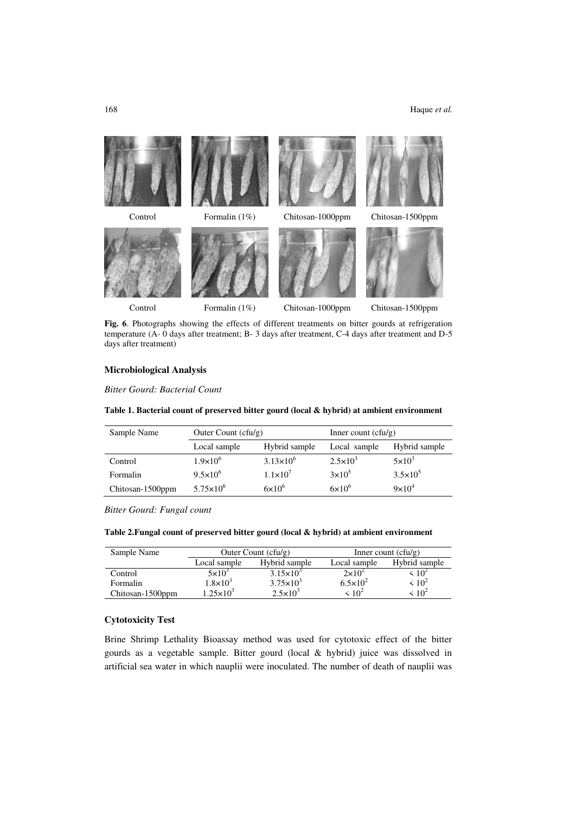

Fig. 6. Photographs showing the effects of different treatments on bitter gourds at refrigeration temperature (A- 0 days after treatment; B- 3 days after treatment, C-4 days after treatment and D-5 days after treatment)

### **Microbiological Analysis**

*Bitter Gourd: Bacterial Count* 

### **Table 1. Bacterial count of preserved bitter gourd (local & hybrid) at ambient environment**

| Sample Name      | Outer Count $(cfu/g)$         |                      | Inner count $(cfu/g)$ |                     |  |
|------------------|-------------------------------|----------------------|-----------------------|---------------------|--|
|                  | Local sample<br>Hybrid sample |                      | Local sample          | Hybrid sample       |  |
| Control          | $1.9 \times 10^{6}$           | $3.13 \times 10^{6}$ | $2.5 \times 10^{3}$   | $5\times10^3$       |  |
| Formalin         | $9.5 \times 10^{6}$           | $1.1\times10^{7}$    | $3\times10^5$         | $3.5 \times 10^{5}$ |  |
| Chitosan-1500ppm | $5.75 \times 10^{6}$          | $6\times10^{6}$      | $6\times10^{6}$       | $9\times10^4$       |  |

*Bitter Gourd: Fungal count* 

#### **Table 2.Fungal count of preserved bitter gourd (local & hybrid) at ambient environment**

| Sample Name      |                               | Outer Count $(cfu/g)$ | Inner count $(cfu/g)$ |               |  |
|------------------|-------------------------------|-----------------------|-----------------------|---------------|--|
|                  | Hybrid sample<br>Local sample |                       | Local sample          | Hybrid sample |  |
| Control          | $5\times10^3$                 | $3.15 \times 10^{3}$  | $2\times10^2$         | $10^{2}$      |  |
| Formalin         | $1.8\times10^3$               | $3.75 \times 10^{3}$  | $6.5 \times 10^{2}$   | $\leq 10^2$   |  |
| Chitosan-1500ppm | $1.25\times10^{3}$            | $2.5 \times 10^3$     | $< 10^2$              | $\leq 10^2$   |  |

# **Cytotoxicity Test**

Brine Shrimp Lethality Bioassay method was used for cytotoxic effect of the bitter gourds as a vegetable sample. Bitter gourd (local & hybrid) juice was dissolved in artificial sea water in which nauplii were inoculated. The number of death of nauplii was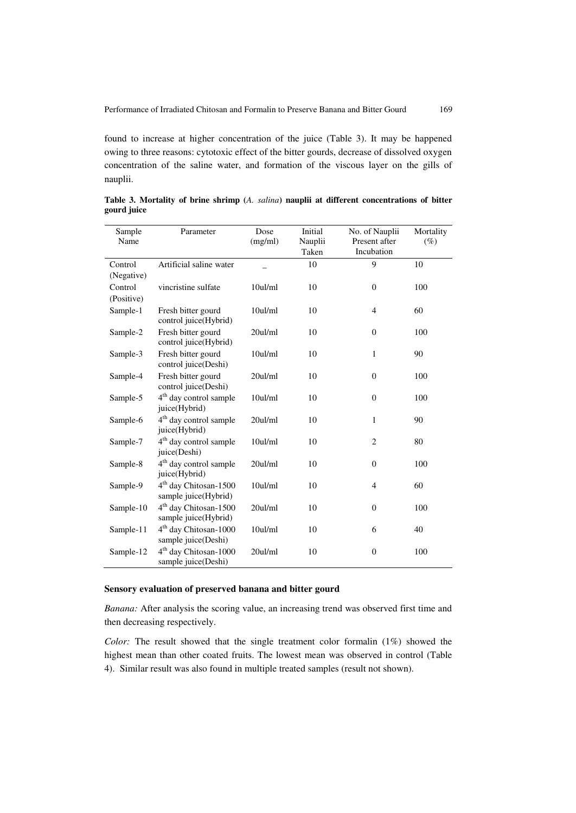found to increase at higher concentration of the juice (Table 3). It may be happened owing to three reasons: cytotoxic effect of the bitter gourds, decrease of dissolved oxygen concentration of the saline water, and formation of the viscous layer on the gills of nauplii.

| Sample<br>Name | Parameter                                                 | Dose<br>(mg/ml) | Initial<br>Nauplii<br>Taken | No. of Nauplii<br>Present after<br>Incubation | Mortality<br>$(\%)$ |
|----------------|-----------------------------------------------------------|-----------------|-----------------------------|-----------------------------------------------|---------------------|
| Control        | Artificial saline water                                   |                 | 10                          | 9                                             | 10                  |
| (Negative)     |                                                           |                 |                             |                                               |                     |
| Control        | vincristine sulfate                                       | 10ul/ml         | 10                          | $\overline{0}$                                | 100                 |
| (Positive)     |                                                           |                 |                             |                                               |                     |
| Sample-1       | Fresh bitter gourd<br>control juice(Hybrid)               | 10ul/ml         | 10                          | 4                                             | 60                  |
| Sample-2       | Fresh bitter gourd<br>control juice(Hybrid)               | 20ul/ml         | 10                          | $\theta$                                      | 100                 |
| Sample-3       | Fresh bitter gourd<br>control juice(Deshi)                | 10ul/ml         | 10                          | $\mathbf{1}$                                  | 90                  |
| Sample-4       | Fresh bitter gourd<br>control juice(Deshi)                | 20ul/ml         | 10                          | $\boldsymbol{0}$                              | 100                 |
| Sample-5       | 4 <sup>th</sup> day control sample<br>juice(Hybrid)       | 10ul/ml         | 10                          | $\boldsymbol{0}$                              | 100                 |
| Sample-6       | 4 <sup>th</sup> day control sample<br>juice(Hybrid)       | 20ul/ml         | 10                          | $\mathbf{1}$                                  | 90                  |
| Sample-7       | 4 <sup>th</sup> day control sample<br>juice(Deshi)        | 10ul/ml         | 10                          | $\overline{2}$                                | 80                  |
| Sample-8       | 4 <sup>th</sup> day control sample<br>juice(Hybrid)       | 20ul/ml         | 10                          | $\overline{0}$                                | 100                 |
| Sample-9       | 4 <sup>th</sup> day Chitosan-1500<br>sample juice(Hybrid) | 10ul/ml         | 10                          | 4                                             | 60                  |
| Sample-10      | 4 <sup>th</sup> day Chitosan-1500<br>sample juice(Hybrid) | 20ul/ml         | 10                          | $\boldsymbol{0}$                              | 100                 |
| Sample-11      | 4 <sup>th</sup> day Chitosan-1000<br>sample juice(Deshi)  | 10ul/ml         | 10                          | 6                                             | 40                  |
| Sample-12      | 4 <sup>th</sup> day Chitosan-1000<br>sample juice(Deshi)  | 20ul/ml         | 10                          | $\boldsymbol{0}$                              | 100                 |

**Table 3. Mortality of brine shrimp (***A. salina***) nauplii at different concentrations of bitter gourd juice** 

#### **Sensory evaluation of preserved banana and bitter gourd**

*Banana:* After analysis the scoring value, an increasing trend was observed first time and then decreasing respectively.

*Color:* The result showed that the single treatment color formalin (1%) showed the highest mean than other coated fruits. The lowest mean was observed in control (Table 4). Similar result was also found in multiple treated samples (result not shown).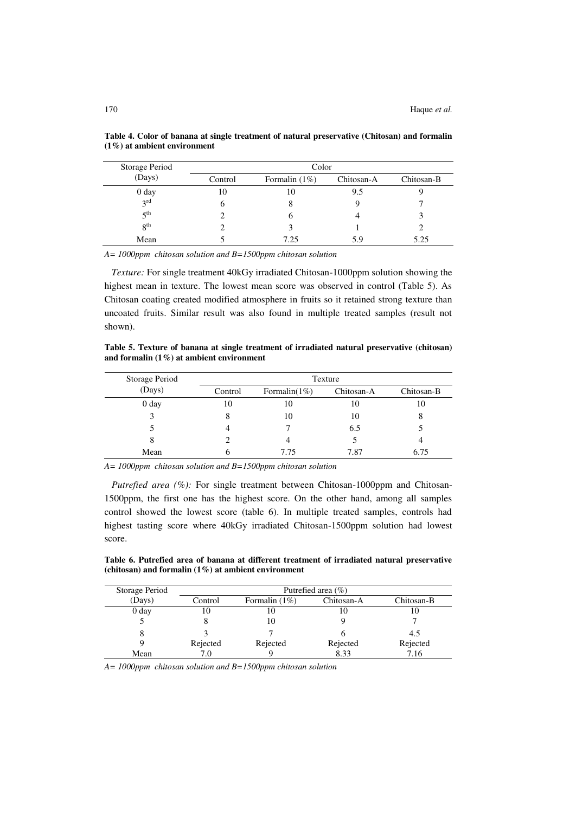| Storage Period   | Color   |                 |            |            |  |  |
|------------------|---------|-----------------|------------|------------|--|--|
| (Days)           | Control | Formalin $(1%)$ | Chitosan-A | Chitosan-B |  |  |
| 0 <sub>day</sub> | 10      | 10              | 9.5        |            |  |  |
| 3 <sup>rd</sup>  |         |                 |            |            |  |  |
| 5 <sup>th</sup>  |         |                 |            |            |  |  |
| 8 <sup>th</sup>  |         |                 |            |            |  |  |
| Mean             |         | 7.25            | 5.9        | 5.25       |  |  |

**Table 4. Color of banana at single treatment of natural preservative (Chitosan) and formalin (1%) at ambient environment** 

*A= 1000ppm chitosan solution and B=1500ppm chitosan solution* 

 *Texture:* For single treatment 40kGy irradiated Chitosan-1000ppm solution showing the highest mean in texture. The lowest mean score was observed in control (Table 5). As Chitosan coating created modified atmosphere in fruits so it retained strong texture than uncoated fruits. Similar result was also found in multiple treated samples (result not shown).

**Table 5. Texture of banana at single treatment of irradiated natural preservative (chitosan) and formalin (1%) at ambient environment** 

| Storage Period   | Texture |                   |            |            |  |  |
|------------------|---------|-------------------|------------|------------|--|--|
| (Days)           | Control | Formalin( $1\%$ ) | Chitosan-A | Chitosan-B |  |  |
| 0 <sub>day</sub> | 10      | 10                | 10         | 10         |  |  |
|                  |         | 10                | 10         | 8          |  |  |
|                  |         |                   | 6.5        |            |  |  |
| 8                |         |                   |            |            |  |  |
| Mean             |         | 7.75              | 7.87       | 6.75       |  |  |

*A= 1000ppm chitosan solution and B=1500ppm chitosan solution* 

*Putrefied area (%):* For single treatment between Chitosan-1000ppm and Chitosan-1500ppm, the first one has the highest score. On the other hand, among all samples control showed the lowest score (table 6). In multiple treated samples, controls had highest tasting score where 40kGy irradiated Chitosan-1500ppm solution had lowest score.

**Table 6. Putrefied area of banana at different treatment of irradiated natural preservative (chitosan) and formalin (1%) at ambient environment** 

| Storage Period   | Putrefied area $(\% )$ |                 |            |            |  |  |  |
|------------------|------------------------|-----------------|------------|------------|--|--|--|
| (Days)           | Control                | Formalin $(1%)$ | Chitosan-A | Chitosan-B |  |  |  |
| 0 <sub>day</sub> | 10                     | ΙU              |            | 10         |  |  |  |
|                  |                        | 10              |            |            |  |  |  |
|                  |                        |                 |            | 4.5        |  |  |  |
|                  | Rejected               | Rejected        | Rejected   | Rejected   |  |  |  |
| Mean             | 7.O                    |                 | 8.33       | 7.16       |  |  |  |

*A= 1000ppm chitosan solution and B=1500ppm chitosan solution*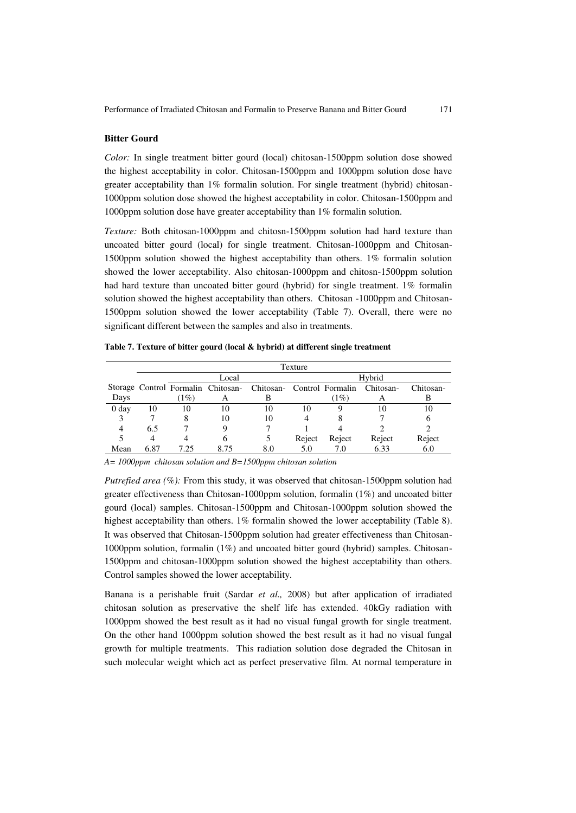### **Bitter Gourd**

*Color:* In single treatment bitter gourd (local) chitosan-1500ppm solution dose showed the highest acceptability in color. Chitosan-1500ppm and 1000ppm solution dose have greater acceptability than 1% formalin solution. For single treatment (hybrid) chitosan-1000ppm solution dose showed the highest acceptability in color. Chitosan-1500ppm and 1000ppm solution dose have greater acceptability than 1% formalin solution.

*Texture:* Both chitosan-1000ppm and chitosn-1500ppm solution had hard texture than uncoated bitter gourd (local) for single treatment. Chitosan-1000ppm and Chitosan-1500ppm solution showed the highest acceptability than others. 1% formalin solution showed the lower acceptability. Also chitosan-1000ppm and chitosn-1500ppm solution had hard texture than uncoated bitter gourd (hybrid) for single treatment. 1% formalin solution showed the highest acceptability than others. Chitosan -1000ppm and Chitosan-1500ppm solution showed the lower acceptability (Table 7). Overall, there were no significant different between the samples and also in treatments.

|                  | Texture |      |       |                                                               |        |         |           |           |  |
|------------------|---------|------|-------|---------------------------------------------------------------|--------|---------|-----------|-----------|--|
|                  |         |      | Local |                                                               |        | Hybrid  |           |           |  |
|                  |         |      |       | Storage Control Formalin Chitosan- Chitosan- Control Formalin |        |         | Chitosan- | Chitosan- |  |
| Days             |         | (1%) | A     |                                                               |        | $(1\%)$ | A         | В         |  |
| 0 <sub>day</sub> | 10      | 10   | 10    | 10                                                            | 10     |         | 10        | 10        |  |
|                  |         | δ    | 10    | 10                                                            |        |         |           | n         |  |
| 4                | 6.5     |      | Q     |                                                               |        |         |           |           |  |
|                  | 4       |      | 6     |                                                               | Reject | Reject  | Reject    | Reject    |  |
| Mean             | 6.87    | 7.25 | 8.75  | 8.0                                                           | 5.0    | 7.0     | 6.33      | 6.0       |  |

**Table 7. Texture of bitter gourd (local & hybrid) at different single treatment** 

*A= 1000ppm chitosan solution and B=1500ppm chitosan solution* 

*Putrefied area (%):* From this study, it was observed that chitosan-1500ppm solution had greater effectiveness than Chitosan-1000ppm solution, formalin (1%) and uncoated bitter gourd (local) samples. Chitosan-1500ppm and Chitosan-1000ppm solution showed the highest acceptability than others. 1% formalin showed the lower acceptability (Table 8). It was observed that Chitosan-1500ppm solution had greater effectiveness than Chitosan-1000ppm solution, formalin (1%) and uncoated bitter gourd (hybrid) samples. Chitosan-1500ppm and chitosan-1000ppm solution showed the highest acceptability than others. Control samples showed the lower acceptability.

Banana is a perishable fruit (Sardar *et al.,* 2008) but after application of irradiated chitosan solution as preservative the shelf life has extended. 40kGy radiation with 1000ppm showed the best result as it had no visual fungal growth for single treatment. On the other hand 1000ppm solution showed the best result as it had no visual fungal growth for multiple treatments. This radiation solution dose degraded the Chitosan in such molecular weight which act as perfect preservative film. At normal temperature in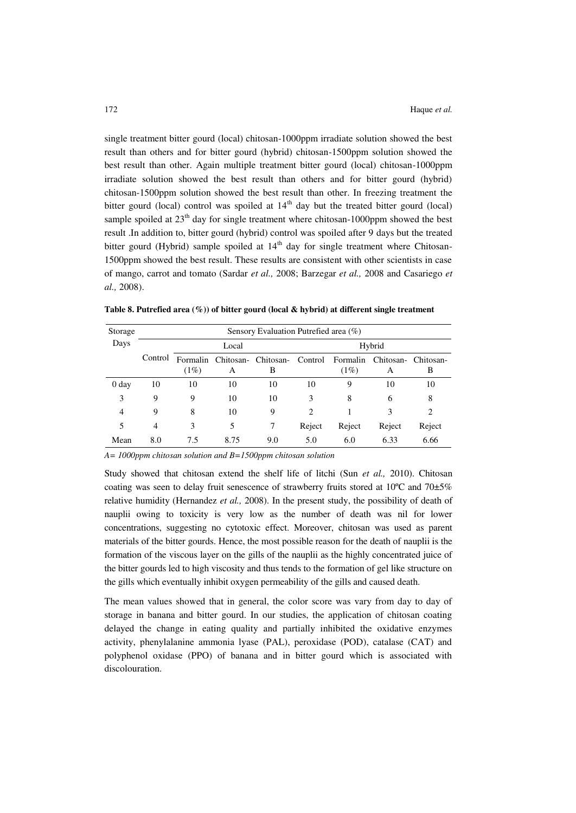single treatment bitter gourd (local) chitosan-1000ppm irradiate solution showed the best result than others and for bitter gourd (hybrid) chitosan-1500ppm solution showed the best result than other. Again multiple treatment bitter gourd (local) chitosan-1000ppm irradiate solution showed the best result than others and for bitter gourd (hybrid) chitosan-1500ppm solution showed the best result than other. In freezing treatment the bitter gourd (local) control was spoiled at  $14<sup>th</sup>$  day but the treated bitter gourd (local) sample spoiled at  $23<sup>th</sup>$  day for single treatment where chitosan-1000ppm showed the best result .In addition to, bitter gourd (hybrid) control was spoiled after 9 days but the treated bitter gourd (Hybrid) sample spoiled at  $14<sup>th</sup>$  day for single treatment where Chitosan-1500ppm showed the best result. These results are consistent with other scientists in case of mango, carrot and tomato (Sardar *et al.,* 2008; Barzegar *et al.,* 2008 and Casariego *et al.,* 2008).

| Storage        | Sensory Evaluation Putrefied area (%) |                     |      |                          |                |                     |                |                |
|----------------|---------------------------------------|---------------------|------|--------------------------|----------------|---------------------|----------------|----------------|
| Days           | Local                                 |                     |      |                          | Hybrid         |                     |                |                |
|                | Control                               | Formalin<br>$(1\%)$ | А    | Chitosan- Chitosan-<br>В | Control        | Formalin<br>$(1\%)$ | Chitosan-<br>А | Chitosan-<br>В |
| 0 day          | 10                                    | 10                  | 10   | 10                       | 10             | 9                   | 10             | 10             |
| 3              | 9                                     | 9                   | 10   | 10                       | 3              | 8                   | 6              | 8              |
| $\overline{4}$ | 9                                     | 8                   | 10   | 9                        | $\overline{c}$ |                     | 3              | 2              |
| 5              | 4                                     | 3                   | 5    | 7                        | Reject         | Reject              | Reject         | Reject         |
| Mean           | 8.0                                   | 7.5                 | 8.75 | 9.0                      | 5.0            | 6.0                 | 6.33           | 6.66           |

**Table 8. Putrefied area (%)) of bitter gourd (local & hybrid) at different single treatment** 

*A= 1000ppm chitosan solution and B=1500ppm chitosan solution*

Study showed that chitosan extend the shelf life of litchi (Sun *et al.,* 2010). Chitosan coating was seen to delay fruit senescence of strawberry fruits stored at  $10^{\circ}$ C and  $70\pm5\%$ relative humidity (Hernandez *et al.,* 2008). In the present study, the possibility of death of nauplii owing to toxicity is very low as the number of death was nil for lower concentrations, suggesting no cytotoxic effect. Moreover, chitosan was used as parent materials of the bitter gourds. Hence, the most possible reason for the death of nauplii is the formation of the viscous layer on the gills of the nauplii as the highly concentrated juice of the bitter gourds led to high viscosity and thus tends to the formation of gel like structure on the gills which eventually inhibit oxygen permeability of the gills and caused death.

The mean values showed that in general, the color score was vary from day to day of storage in banana and bitter gourd. In our studies, the application of chitosan coating delayed the change in eating quality and partially inhibited the oxidative enzymes activity, phenylalanine ammonia lyase (PAL), peroxidase (POD), catalase (CAT) and polyphenol oxidase (PPO) of banana and in bitter gourd which is associated with discolouration.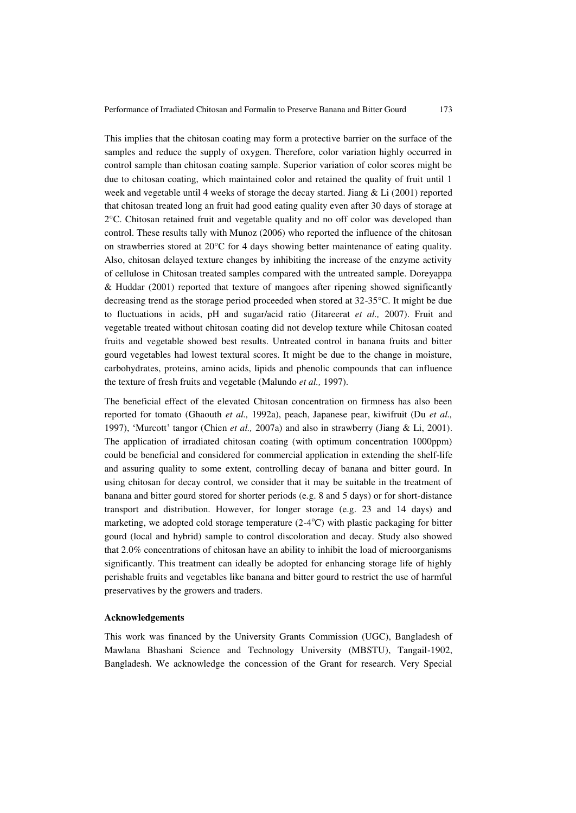This implies that the chitosan coating may form a protective barrier on the surface of the samples and reduce the supply of oxygen. Therefore, color variation highly occurred in control sample than chitosan coating sample. Superior variation of color scores might be due to chitosan coating, which maintained color and retained the quality of fruit until 1 week and vegetable until 4 weeks of storage the decay started. Jiang & Li (2001) reported that chitosan treated long an fruit had good eating quality even after 30 days of storage at 2°C. Chitosan retained fruit and vegetable quality and no off color was developed than control. These results tally with Munoz (2006) who reported the influence of the chitosan on strawberries stored at 20°C for 4 days showing better maintenance of eating quality. Also, chitosan delayed texture changes by inhibiting the increase of the enzyme activity of cellulose in Chitosan treated samples compared with the untreated sample. Doreyappa & Huddar (2001) reported that texture of mangoes after ripening showed significantly decreasing trend as the storage period proceeded when stored at 32-35°C. It might be due to fluctuations in acids, pH and sugar/acid ratio (Jitareerat *et al.,* 2007). Fruit and vegetable treated without chitosan coating did not develop texture while Chitosan coated fruits and vegetable showed best results. Untreated control in banana fruits and bitter gourd vegetables had lowest textural scores. It might be due to the change in moisture, carbohydrates, proteins, amino acids, lipids and phenolic compounds that can influence the texture of fresh fruits and vegetable (Malundo *et al.,* 1997).

The beneficial effect of the elevated Chitosan concentration on firmness has also been reported for tomato (Ghaouth *et al.,* 1992a), peach, Japanese pear, kiwifruit (Du *et al.,*  1997), 'Murcott' tangor (Chien *et al.,* 2007a) and also in strawberry (Jiang & Li, 2001). The application of irradiated chitosan coating (with optimum concentration 1000ppm) could be beneficial and considered for commercial application in extending the shelf-life and assuring quality to some extent, controlling decay of banana and bitter gourd. In using chitosan for decay control, we consider that it may be suitable in the treatment of banana and bitter gourd stored for shorter periods (e.g. 8 and 5 days) or for short-distance transport and distribution. However, for longer storage (e.g. 23 and 14 days) and marketing, we adopted cold storage temperature  $(2-4<sup>o</sup>C)$  with plastic packaging for bitter gourd (local and hybrid) sample to control discoloration and decay. Study also showed that 2.0% concentrations of chitosan have an ability to inhibit the load of microorganisms significantly. This treatment can ideally be adopted for enhancing storage life of highly perishable fruits and vegetables like banana and bitter gourd to restrict the use of harmful preservatives by the growers and traders.

#### **Acknowledgements**

This work was financed by the University Grants Commission (UGC), Bangladesh of Mawlana Bhashani Science and Technology University (MBSTU), Tangail-1902, Bangladesh. We acknowledge the concession of the Grant for research. Very Special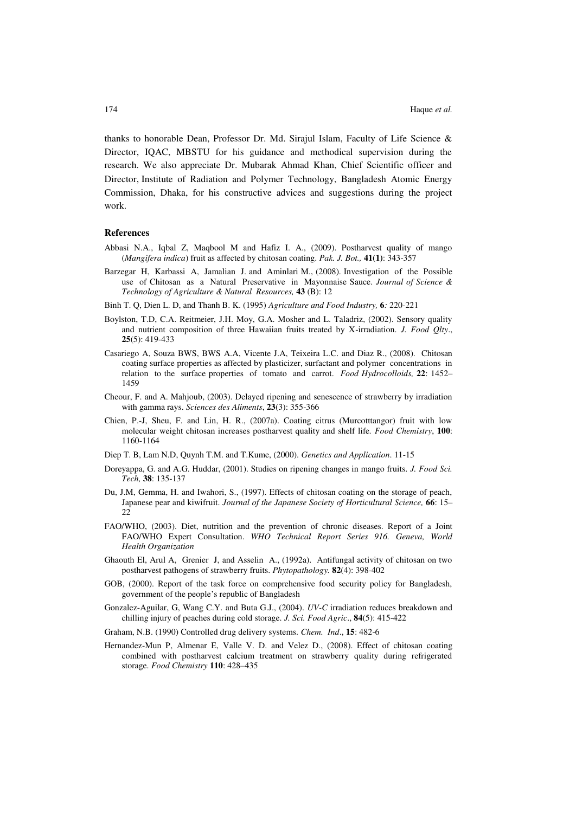thanks to honorable Dean, Professor Dr. Md. Sirajul Islam, Faculty of Life Science & Director, IQAC, MBSTU for his guidance and methodical supervision during the research. We also appreciate Dr. Mubarak Ahmad Khan, Chief Scientific officer and Director, Institute of Radiation and Polymer Technology, Bangladesh Atomic Energy Commission, Dhaka, for his constructive advices and suggestions during the project work.

#### **References**

- Abbasi N.A., Iqbal Z, Maqbool M and Hafiz I. A., (2009). Postharvest quality of mango (*Mangifera indica*) fruit as affected by chitosan coating. *Pak. J. Bot.,* **41(1)**: 343-357
- Barzegar H, Karbassi A, Jamalian J. and Aminlari M., (2008). Investigation of the Possible use of Chitosan as a Natural Preservative in Mayonnaise Sauce. *Journal of Science & Technology of Agriculture & Natural Resources,* **43** (B): 12
- Binh T. Q, Dien L. D, and Thanh B. K. (1995) *Agriculture and Food Industry,* **6***:* 220-221
- Boylston, T.D, C.A. Reitmeier, J.H. Moy, G.A. Mosher and L. Taladriz, (2002). Sensory quality and nutrient composition of three Hawaiian fruits treated by X-irradiation. *J. Food Qlty*., **25**(5): 419-433
- Casariego A, Souza BWS, BWS A.A, Vicente J.A, Teixeira L.C. and Diaz R., (2008). Chitosan coating surface properties as affected by plasticizer, surfactant and polymer concentrations in relation to the surface properties of tomato and carrot. *Food Hydrocolloids,* **22**: 1452– 1459
- Cheour, F. and A. Mahjoub, (2003). Delayed ripening and senescence of strawberry by irradiation with gamma rays. *Sciences des Aliments*, **23**(3): 355-366
- Chien, P.-J, Sheu, F. and Lin, H. R., (2007a). Coating citrus (Murcotttangor) fruit with low molecular weight chitosan increases postharvest quality and shelf life*. Food Chemistry*, **100**: 1160-1164
- Diep T. B, Lam N.D, Quynh T.M. and T.Kume, (2000). *Genetics and Application*. 11-15
- Doreyappa, G. and A.G. Huddar, (2001). Studies on ripening changes in mango fruits. *J. Food Sci. Tech,* **38**: 135-137
- Du, J.M, Gemma, H. and Iwahori, S., (1997). Effects of chitosan coating on the storage of peach, Japanese pear and kiwifruit. *Journal of the Japanese Society of Horticultural Science,* **66**: 15– 22
- FAO/WHO, (2003). Diet, nutrition and the prevention of chronic diseases. Report of a Joint FAO/WHO Expert Consultation. *WHO Technical Report Series 916. Geneva, World Health Organization*
- Ghaouth El, Arul A, Grenier J, and Asselin A., (1992a). Antifungal activity of chitosan on two postharvest pathogens of strawberry fruits. *Phytopathology.* **82**(4): 398-402
- GOB, (2000). Report of the task force on comprehensive food security policy for Bangladesh, government of the people's republic of Bangladesh
- Gonzalez-Aguilar, G, Wang C.Y. and Buta G.J., (2004). *UV-C* irradiation reduces breakdown and chilling injury of peaches during cold storage. *J. Sci. Food Agric*., **84**(5): 415-422
- Graham, N.B. (1990) Controlled drug delivery systems. *Chem. Ind*., **15**: 482-6
- Hernandez-Mun P, Almenar E, Valle V. D. and Velez D., (2008). Effect of chitosan coating combined with postharvest calcium treatment on strawberry quality during refrigerated storage. *Food Chemistry* **110**: 428–435